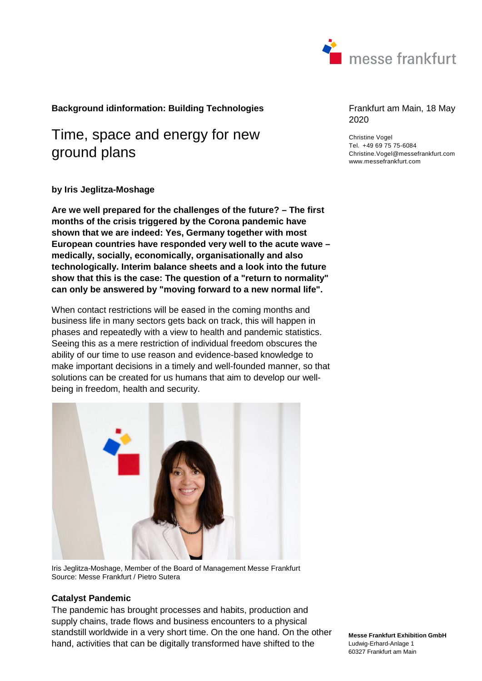

# **Background idinformation: Building Technologies** Frankfurt am Main, 18 May

# Time, space and energy for new ground plans

### **by Iris Jeglitza-Moshage**

**Are we well prepared for the challenges of the future? – The first months of the crisis triggered by the Corona pandemic have shown that we are indeed: Yes, Germany together with most European countries have responded very well to the acute wave – medically, socially, economically, organisationally and also technologically. Interim balance sheets and a look into the future show that this is the case: The question of a "return to normality" can only be answered by "moving forward to a new normal life".** 

When contact restrictions will be eased in the coming months and business life in many sectors gets back on track, this will happen in phases and repeatedly with a view to health and pandemic statistics. Seeing this as a mere restriction of individual freedom obscures the ability of our time to use reason and evidence-based knowledge to make important decisions in a timely and well-founded manner, so that solutions can be created for us humans that aim to develop our wellbeing in freedom, health and security.



Iris Jeglitza-Moshage, Member of the Board of Management Messe Frankfurt Source: Messe Frankfurt / Pietro Sutera

### **Catalyst Pandemic**

The pandemic has brought processes and habits, production and supply chains, trade flows and business encounters to a physical standstill worldwide in a very short time. On the one hand. On the other hand, activities that can be digitally transformed have shifted to the

2020

Christine Vogel Tel. +49 69 75 75-6084 Christine.Vogel@messefrankfurt.com www.messefrankfurt.com

**Messe Frankfurt Exhibition GmbH**  Ludwig-Erhard-Anlage 1 60327 Frankfurt am Main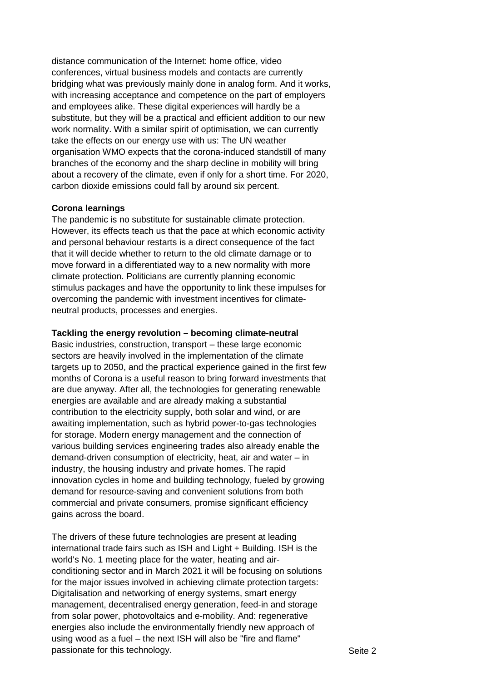distance communication of the Internet: home office, video conferences, virtual business models and contacts are currently bridging what was previously mainly done in analog form. And it works, with increasing acceptance and competence on the part of employers and employees alike. These digital experiences will hardly be a substitute, but they will be a practical and efficient addition to our new work normality. With a similar spirit of optimisation, we can currently take the effects on our energy use with us: The UN weather organisation WMO expects that the corona-induced standstill of many branches of the economy and the sharp decline in mobility will bring about a recovery of the climate, even if only for a short time. For 2020, carbon dioxide emissions could fall by around six percent.

# **Corona learnings**

The pandemic is no substitute for sustainable climate protection. However, its effects teach us that the pace at which economic activity and personal behaviour restarts is a direct consequence of the fact that it will decide whether to return to the old climate damage or to move forward in a differentiated way to a new normality with more climate protection. Politicians are currently planning economic stimulus packages and have the opportunity to link these impulses for overcoming the pandemic with investment incentives for climateneutral products, processes and energies.

# **Tackling the energy revolution – becoming climate-neutral**

Basic industries, construction, transport – these large economic sectors are heavily involved in the implementation of the climate targets up to 2050, and the practical experience gained in the first few months of Corona is a useful reason to bring forward investments that are due anyway. After all, the technologies for generating renewable energies are available and are already making a substantial contribution to the electricity supply, both solar and wind, or are awaiting implementation, such as hybrid power-to-gas technologies for storage. Modern energy management and the connection of various building services engineering trades also already enable the demand-driven consumption of electricity, heat, air and water – in industry, the housing industry and private homes. The rapid innovation cycles in home and building technology, fueled by growing demand for resource-saving and convenient solutions from both commercial and private consumers, promise significant efficiency gains across the board.

The drivers of these future technologies are present at leading international trade fairs such as ISH and Light + Building. ISH is the world's No. 1 meeting place for the water, heating and airconditioning sector and in March 2021 it will be focusing on solutions for the major issues involved in achieving climate protection targets: Digitalisation and networking of energy systems, smart energy management, decentralised energy generation, feed-in and storage from solar power, photovoltaics and e-mobility. And: regenerative energies also include the environmentally friendly new approach of using wood as a fuel – the next ISH will also be "fire and flame" passionate for this technology.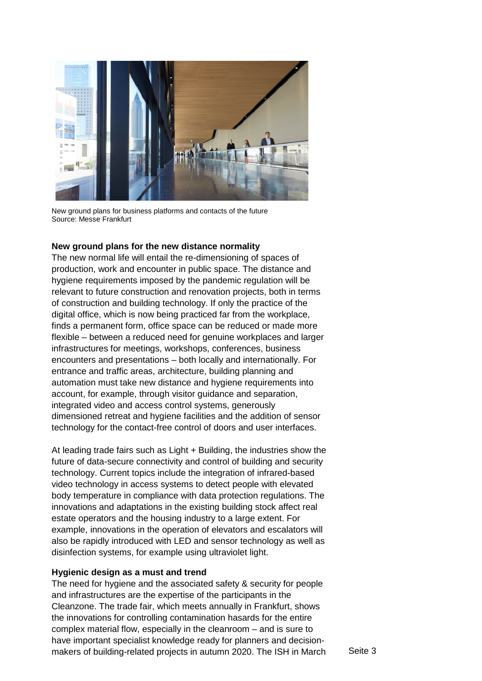

New ground plans for business platforms and contacts of the future Source: Messe Frankfurt

## **New ground plans for the new distance normality**

The new normal life will entail the re-dimensioning of spaces of production, work and encounter in public space. The distance and hygiene requirements imposed by the pandemic regulation will be relevant to future construction and renovation projects, both in terms of construction and building technology. If only the practice of the digital office, which is now being practiced far from the workplace, finds a permanent form, office space can be reduced or made more flexible – between a reduced need for genuine workplaces and larger infrastructures for meetings, workshops, conferences, business encounters and presentations – both locally and internationally. For entrance and traffic areas, architecture, building planning and automation must take new distance and hygiene requirements into account, for example, through visitor guidance and separation, integrated video and access control systems, generously dimensioned retreat and hygiene facilities and the addition of sensor technology for the contact-free control of doors and user interfaces.

At leading trade fairs such as Light + Building, the industries show the future of data-secure connectivity and control of building and security technology. Current topics include the integration of infrared-based video technology in access systems to detect people with elevated body temperature in compliance with data protection regulations. The innovations and adaptations in the existing building stock affect real estate operators and the housing industry to a large extent. For example, innovations in the operation of elevators and escalators will also be rapidly introduced with LED and sensor technology as well as disinfection systems, for example using ultraviolet light.

### **Hygienic design as a must and trend**

The need for hygiene and the associated safety & security for people and infrastructures are the expertise of the participants in the Cleanzone. The trade fair, which meets annually in Frankfurt, shows the innovations for controlling contamination hasards for the entire complex material flow, especially in the cleanroom – and is sure to have important specialist knowledge ready for planners and decisionmakers of building-related projects in autumn 2020. The ISH in March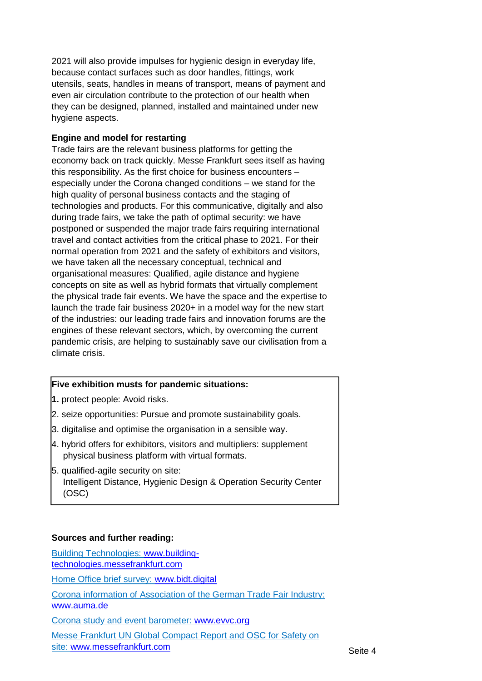2021 will also provide impulses for hygienic design in everyday life, because contact surfaces such as door handles, fittings, work utensils, seats, handles in means of transport, means of payment and even air circulation contribute to the protection of our health when they can be designed, planned, installed and maintained under new hygiene aspects.

# **Engine and model for restarting**

Trade fairs are the relevant business platforms for getting the economy back on track quickly. Messe Frankfurt sees itself as having this responsibility. As the first choice for business encounters – especially under the Corona changed conditions – we stand for the high quality of personal business contacts and the staging of technologies and products. For this communicative, digitally and also during trade fairs, we take the path of optimal security: we have postponed or suspended the major trade fairs requiring international travel and contact activities from the critical phase to 2021. For their normal operation from 2021 and the safety of exhibitors and visitors, we have taken all the necessary conceptual, technical and organisational measures: Qualified, agile distance and hygiene concepts on site as well as hybrid formats that virtually complement the physical trade fair events. We have the space and the expertise to launch the trade fair business 2020+ in a model way for the new start of the industries: our leading trade fairs and innovation forums are the engines of these relevant sectors, which, by overcoming the current pandemic crisis, are helping to sustainably save our civilisation from a climate crisis.

# **Five exhibition musts for pandemic situations:**

- **1.** protect people: Avoid risks.
- 2. seize opportunities: Pursue and promote sustainability goals.
- 3. digitalise and optimise the organisation in a sensible way.
- 4. hybrid offers for exhibitors, visitors and multipliers: supplement physical business platform with virtual formats.
- 5. qualified-agile security on site: Intelligent Distance, Hygienic Design & Operation Security Center (OSC)

# **Sources and further reading:**

Building Technologies: [www.building](http://www.building-technologies.messefrankfurt.com/)[technologies.messefrankfurt.com](http://www.building-technologies.messefrankfurt.com/) Home Office brief survey: [www.bidt.digital](http://www.bidt.digital/) Corona information of Association of the German Trade Fair Industry: [www.auma.de](http://www.auma.de/) Corona study and event barometer: [www.evvc.org](http://www.evvc.org/) Messe Frankfurt UN Global Compact Report and OSC for Safety on site: [www.messefrankfurt.com](http://www.messefrankfurt.com/)